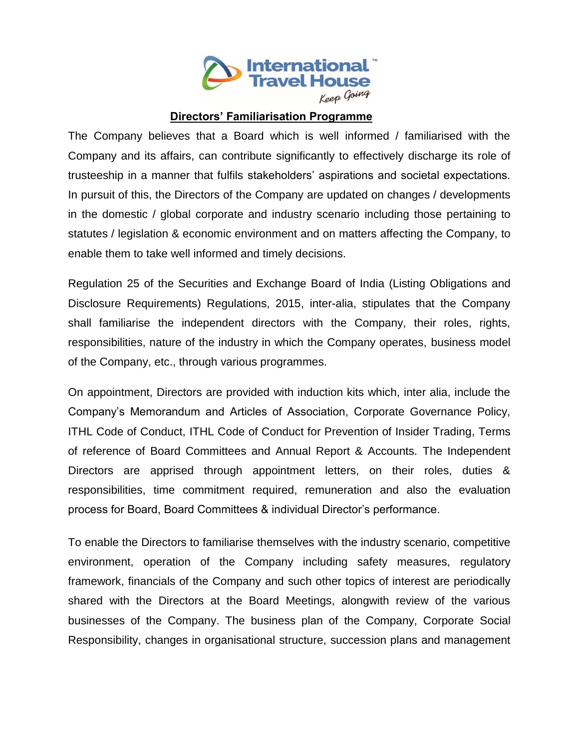

## **Directors' Familiarisation Programme**

The Company believes that a Board which is well informed / familiarised with the Company and its affairs, can contribute significantly to effectively discharge its role of trusteeship in a manner that fulfils stakeholders' aspirations and societal expectations. In pursuit of this, the Directors of the Company are updated on changes / developments in the domestic / global corporate and industry scenario including those pertaining to statutes / legislation & economic environment and on matters affecting the Company, to enable them to take well informed and timely decisions.

Regulation 25 of the Securities and Exchange Board of India (Listing Obligations and Disclosure Requirements) Regulations, 2015, inter-alia, stipulates that the Company shall familiarise the independent directors with the Company, their roles, rights, responsibilities, nature of the industry in which the Company operates, business model of the Company, etc., through various programmes.

On appointment, Directors are provided with induction kits which, inter alia, include the Company's Memorandum and Articles of Association, Corporate Governance Policy, ITHL Code of Conduct, ITHL Code of Conduct for Prevention of Insider Trading, Terms of reference of Board Committees and Annual Report & Accounts. The Independent Directors are apprised through appointment letters, on their roles, duties & responsibilities, time commitment required, remuneration and also the evaluation process for Board, Board Committees & individual Director's performance.

To enable the Directors to familiarise themselves with the industry scenario, competitive environment, operation of the Company including safety measures, regulatory framework, financials of the Company and such other topics of interest are periodically shared with the Directors at the Board Meetings, alongwith review of the various businesses of the Company. The business plan of the Company, Corporate Social Responsibility, changes in organisational structure, succession plans and management